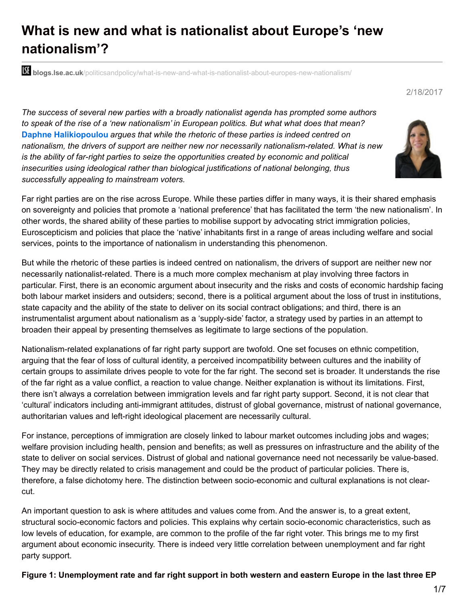# **What is new and what is nationalist about Europe's 'new nationalism'?**

**blogs.lse.ac.uk**[/politicsandpolicy/what-is-new-and-what-is-nationalist-about-europes-new-nationalism/](http://blogs.lse.ac.uk/politicsandpolicy/what-is-new-and-what-is-nationalist-about-europes-new-nationalism/)

2/18/2017

*The success of several new parties with a broadly nationalist agenda has prompted some authors to speak of the rise of a 'new nationalism' in European politics. But what what does that mean?* **Daphne Halikiopoulou** *argues that while the rhetoric of these parties is indeed centred on nationalism, the drivers of support are neither new nor necessarily nationalism-related. What is new is the ability of far-right parties to seize the opportunities created by economic and political insecurities using ideological rather than biological justifications of national belonging, thus successfully appealing to mainstream voters.*



But while the rhetoric of these parties is indeed centred on nationalism, the drivers of support are neither new nor necessarily nationalist-related. There is a much more complex mechanism at play involving three factors in particular. First, there is an economic argument about insecurity and the risks and costs of economic hardship facing both labour market insiders and outsiders; second, there is a political argument about the loss of trust in institutions, state capacity and the ability of the state to deliver on its social contract obligations; and third, there is an instrumentalist argument about nationalism as a 'supply-side' factor, a strategy used by parties in an attempt to broaden their appeal by presenting themselves as legitimate to large sections of the population.

Nationalism-related explanations of far right party support are twofold. One set focuses on ethnic competition, arguing that the fear of loss of cultural identity, a perceived incompatibility between cultures and the inability of certain groups to assimilate drives people to vote for the far right. The second set is broader. It understands the rise of the far right as a value conflict, a reaction to value change. Neither explanation is without its limitations. First, there isn't always a correlation between immigration levels and far right party support. Second, it is not clear that 'cultural' indicators including anti-immigrant attitudes, distrust of global governance, mistrust of national governance, authoritarian values and left-right ideological placement are necessarily cultural.

For instance, perceptions of immigration are closely linked to labour market outcomes including jobs and wages; welfare provision including health, pension and benefits; as well as pressures on infrastructure and the ability of the state to deliver on social services. Distrust of global and national governance need not necessarily be value-based. They may be directly related to crisis management and could be the product of particular policies. There is, therefore, a false dichotomy here. The distinction between socio-economic and cultural explanations is not clearcut.

An important question to ask is where attitudes and values come from. And the answer is, to a great extent, structural socio-economic factors and policies. This explains why certain socio-economic characteristics, such as low levels of education, for example, are common to the profile of the far right voter. This brings me to my first argument about economic insecurity. There is indeed very little correlation between unemployment and far right party support.

Figure 1: Unemployment rate and far right support in both western and eastern Europe in the last three EP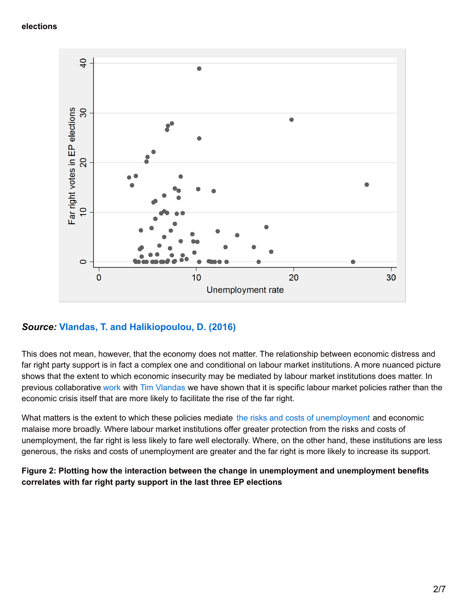#### **elections**



### *Source:* **Vlandas, T. and [Halikiopoulou,](http://www.etui.org/Publications2/Working-Papers/Why-far-right-parties-do-well-at-times-of-crisis-the-role-of-labour-market-institutions) D. (2016)**

This does not mean, however, that the economy does not matter. The relationship between economic distress and far right party support is in fact a complex one and conditional on labour market institutions. A more nuanced picture shows that the extent to which economic insecurity may be mediated by labour market institutions does matter. In previous collaborative [work](http://www.etui.org/Publications2/Working-Papers/Why-far-right-parties-do-well-at-times-of-crisis-the-role-of-labour-market-institutions) with Tim [Vlandas](https://timvlandas.com/) we have shown that it is specific labour market policies rather than the economic crisis itself that are more likely to facilitate the rise of the far right.

What matters is the extent to which these policies mediate the risks and costs of [unemployment](http://onlinelibrary.wiley.com/doi/10.1111/jcms.12310/abstract) and economic malaise more broadly. Where labour market institutions offer greater protection from the risks and costs of unemployment, the far right is less likely to fare well electorally. Where, on the other hand, these institutions are less generous, the risks and costs of unemployment are greater and the far right is more likely to increase its support.

#### **Figure 2: Plotting how the interaction between the change in unemployment and unemployment benefits correlates with far right party support in the last three EP elections**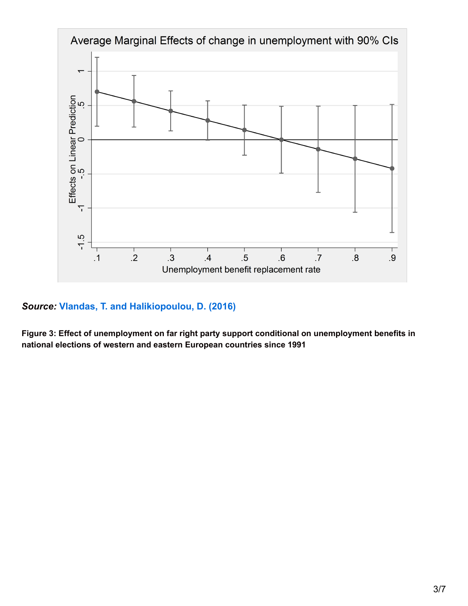

## *Source:* **Vlandas, T. and [Halikiopoulou,](http://www.etui.org/Publications2/Working-Papers/Why-far-right-parties-do-well-at-times-of-crisis-the-role-of-labour-market-institutions) D. (2016)**

**Figure 3: Effect of unemployment on far right party support conditional on unemployment benefits in national elections of western and eastern European countries since 1991**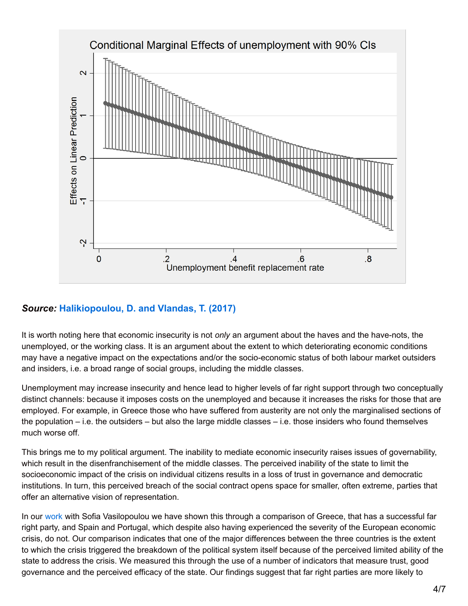

# *Source:* **[Halikiopoulou,](https://ssrn.com/abstract=2907070) D. and Vlandas, T. (2017)**

It is worth noting here that economic insecurity is not *only* an argument about the haves and the have-nots, the unemployed, or the working class. It is an argument about the extent to which deteriorating economic conditions may have a negative impact on the expectations and/or the socio-economic status of both labour market outsiders and insiders, i.e. a broad range of social groups, including the middle classes.

Unemployment may increase insecurity and hence lead to higher levels of far right support through two conceptually distinct channels: because it imposes costs on the unemployed and because it increases the risks for those that are employed. For example, in Greece those who have suffered from austerity are not only the marginalised sections of the population – i.e. the outsiders – but also the large middle classes – i.e. those insiders who found themselves much worse off.

This brings me to my political argument. The inability to mediate economic insecurity raises issues of governability, which result in the disenfranchisement of the middle classes. The perceived inability of the state to limit the socioeconomic impact of the crisis on individual citizens results in a loss of trust in governance and democratic institutions. In turn, this perceived breach of the social contract opens space for smaller, often extreme, parties that offer an alternative vision of representation.

In our [work](https://www.cambridge.org/core/journals/government-and-opposition/article/breaching-the-social-contract-crises-of-democratic-representation-and-patterns-of-extreme-right-party-support/C8ECDE8C75B2CD406FE49B107E8B2307) with Sofia Vasilopoulou we have shown this through a comparison of Greece, that has a successful far right party, and Spain and Portugal, which despite also having experienced the severity of the European economic crisis, do not. Our comparison indicates that one of the major differences between the three countries is the extent to which the crisis triggered the breakdown of the political system itself because of the perceived limited ability of the state to address the crisis. We measured this through the use of a number of indicators that measure trust, good governance and the perceived efficacy of the state. Our findings suggest that far right parties are more likely to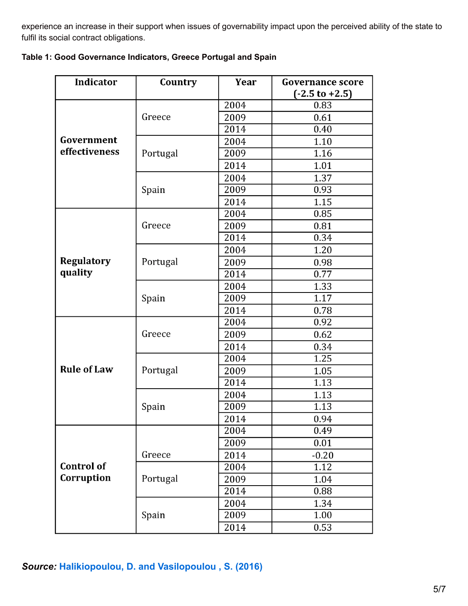experience an increase in their support when issues of governability impact upon the perceived ability of the state to fulfil its social contract obligations.

| Table 1: Good Governance Indicators, Greece Portugal and Spain |  |  |  |  |  |  |  |
|----------------------------------------------------------------|--|--|--|--|--|--|--|
|----------------------------------------------------------------|--|--|--|--|--|--|--|

| <b>Indicator</b>   | Country  | Year | <b>Governance score</b><br>$(-2.5 \text{ to } +2.5)$ |  |
|--------------------|----------|------|------------------------------------------------------|--|
|                    |          | 2004 | 0.83                                                 |  |
|                    | Greece   | 2009 | 0.61                                                 |  |
|                    |          | 2014 | 0.40                                                 |  |
| Government         |          | 2004 | 1.10                                                 |  |
| effectiveness      | Portugal | 2009 | 1.16                                                 |  |
|                    |          | 2014 | 1.01                                                 |  |
|                    |          | 2004 | 1.37                                                 |  |
|                    | Spain    | 2009 | 0.93                                                 |  |
|                    |          | 2014 | 1.15                                                 |  |
|                    |          | 2004 | 0.85                                                 |  |
|                    | Greece   | 2009 | 0.81                                                 |  |
|                    |          | 2014 | 0.34                                                 |  |
|                    |          | 2004 | 1.20                                                 |  |
| <b>Regulatory</b>  | Portugal | 2009 | 0.98                                                 |  |
| quality            |          | 2014 | 0.77                                                 |  |
|                    |          | 2004 | 1.33                                                 |  |
|                    | Spain    | 2009 | 1.17                                                 |  |
|                    |          | 2014 | 0.78                                                 |  |
|                    | Greece   | 2004 | 0.92                                                 |  |
|                    |          | 2009 | 0.62                                                 |  |
|                    |          | 2014 | 0.34                                                 |  |
|                    | Portugal | 2004 | 1.25                                                 |  |
| <b>Rule of Law</b> |          | 2009 | 1.05                                                 |  |
|                    |          | 2014 | 1.13                                                 |  |
|                    |          | 2004 | 1.13                                                 |  |
|                    | Spain    | 2009 | 1.13                                                 |  |
|                    |          | 2014 | 0.94                                                 |  |
|                    |          | 2004 | 0.49                                                 |  |
|                    |          | 2009 | 0.01                                                 |  |
|                    | Greece   | 2014 | $-0.20$                                              |  |
| <b>Control of</b>  |          | 2004 | 1.12                                                 |  |
| Corruption         | Portugal | 2009 | 1.04                                                 |  |
|                    |          | 2014 | 0.88                                                 |  |
|                    |          | 2004 | 1.34                                                 |  |
|                    | Spain    | 2009 | 1.00                                                 |  |
|                    |          | 2014 | 0.53                                                 |  |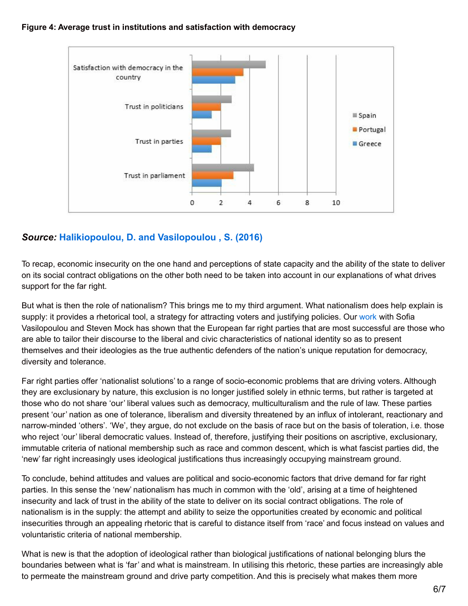#### **Figure 4: Average trust in institutions and satisfaction with democracy**



## *Source:* **[Halikiopoulou,](https://www.cambridge.org/core/journals/government-and-opposition/article/breaching-the-social-contract-crises-of-democratic-representation-and-patterns-of-extreme-right-party-support/C8ECDE8C75B2CD406FE49B107E8B2307) D. and Vasilopoulou , S. (2016)**

To recap, economic insecurity on the one hand and perceptions of state capacity and the ability of the state to deliver on its social contract obligations on the other both need to be taken into account in our explanations of what drives support for the far right.

But what is then the role of nationalism? This brings me to my third argument. What nationalism does help explain is supply: it provides a rhetorical tool, a strategy for attracting voters and justifying policies. Our [work](http://onlinelibrary.wiley.com/doi/10.1111/j.1469-8129.2012.00550.x/abstract) with Sofia Vasilopoulou and Steven Mock has shown that the European far right parties that are most successful are those who are able to tailor their discourse to the liberal and civic characteristics of national identity so as to present themselves and their ideologies as the true authentic defenders of the nation's unique reputation for democracy, diversity and tolerance.

Far right parties offer 'nationalist solutions' to a range of socio-economic problems that are driving voters. Although they are exclusionary by nature, this exclusion is no longer justified solely in ethnic terms, but rather is targeted at those who do not share 'our' liberal values such as democracy, multiculturalism and the rule of law. These parties present 'our' nation as one of tolerance, liberalism and diversity threatened by an influx of intolerant, reactionary and narrow-minded 'others'. 'We', they argue, do not exclude on the basis of race but on the basis of toleration, i.e. those who reject 'our' liberal democratic values. Instead of, therefore, justifying their positions on ascriptive, exclusionary, immutable criteria of national membership such as race and common descent, which is what fascist parties did, the 'new' far right increasingly uses ideological justifications thus increasingly occupying mainstream ground.

To conclude, behind attitudes and values are political and socio-economic factors that drive demand for far right parties. In this sense the 'new' nationalism has much in common with the 'old', arising at a time of heightened insecurity and lack of trust in the ability of the state to deliver on its social contract obligations. The role of nationalism is in the supply: the attempt and ability to seize the opportunities created by economic and political insecurities through an appealing rhetoric that is careful to distance itself from 'race' and focus instead on values and voluntaristic criteria of national membership.

What is new is that the adoption of ideological rather than biological justifications of national belonging blurs the boundaries between what is 'far' and what is mainstream. In utilising this rhetoric, these parties are increasingly able to permeate the mainstream ground and drive party competition. And this is precisely what makes them more